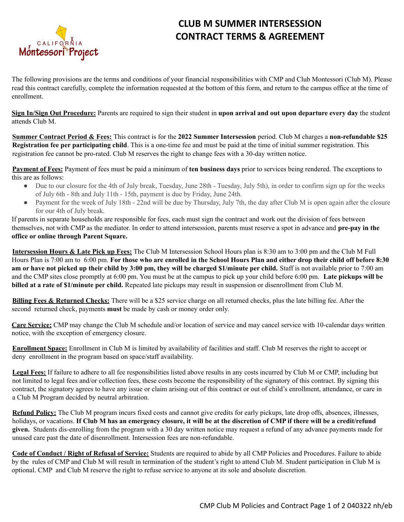

## **CLUB M SUMMER INTERSESSION CONTRACT TERMS & AGREEMENT**

The following provisions are the terms and conditions of your financial responsibilities with CMP and Club Montessori (Club M). Please read this contract carefully, complete the information requested at the bottom of this form, and return to the campus office at the time of enrollment.

**Sign In/Sign Out Procedure:** Parents are required to sign their student in **upon arrival and out upon departure every day** the student attends Club M.

**Summer Contract Period & Fees:** This contract is for the **2022 Summer Intersession** period. Club M charges a **non-refundable \$25 Registration fee per participating child**. This is a one-time fee and must be paid at the time of initial summer registration. This registration fee cannot be pro-rated. Club M reserves the right to change fees with a 30-day written notice.

**Payment of Fees:** Payment of fees must be paid a minimum of **ten business days** prior to services being rendered. The exceptions to this are as follows:

- Due to our closure for the 4th of July break, Tuesday, June 28th Tuesday, July 5th), in order to confirm sign up for the weeks of July 6th - 8th and July 11th - 15th, payment is due by Friday, June 24th.
- Payment for the week of July 18th 22nd will be due by Thursday, July 7th, the day after Club M is open again after the closure for our 4th of July break.

If parents in separate households are responsible for fees, each must sign the contract and work out the division of fees between themselves, not with CMP as the mediator. In order to attend intersession, parents must reserve a spot in advance and **pre-pay in the office or online through Parent Square.**

**Intersession Hours & Late Pick up Fees:** The Club M Intersession School Hours plan is 8:30 am to 3:00 pm and the Club M Full Hours Plan is 7:00 am to 6:00 pm. **For those who are enrolled in the School Hours Plan and either drop their child off before 8:30 am or have not picked up their child by 3:00 pm, they will be charged \$1/minute per child.** Staff is not available prior to 7:00 am and the CMP sites close promptly at 6:00 pm. You must be at the campus to pick up your child before 6:00 pm. **Late pickups will be billed at a rate of \$1/minute per child.** Repeated late pickups may result in suspension or disenrollment from Club M.

**Billing Fees & Returned Checks:** There will be a \$25 service charge on all returned checks, plus the late billing fee. After the second returned check, payments **must** be made by cash or money order only.

**Care Service:** CMP may change the Club M schedule and/or location of service and may cancel service with 10-calendar days written notice, with the exception of emergency closure.

**Enrollment Space:** Enrollment in Club M is limited by availability of facilities and staff. Club M reserves the right to accept or deny enrollment in the program based on space/staff availability.

Legal Fees: If failure to adhere to all fee responsibilities listed above results in any costs incurred by Club M or CMP, including but not limited to legal fees and/or collection fees, these costs become the responsibility of the signatory of this contract. By signing this contract, the signatory agrees to have any issue or claim arising out of this contract or out of child's enrollment, attendance, or care in a Club M Program decided by neutral arbitration.

**Refund Policy:** The Club M program incurs fixed costs and cannot give credits for early pickups, late drop offs, absences, illnesses, holidays, or vacations. **If Club M has an emergency closure, it will be at the discretion of CMP if there will be a credit/refund given.** Students dis-enrolling from the program with a 30 day written notice may request a refund of any advance payments made for unused care past the date of disenrollment. Intersession fees are non-refundable.

**Code of Conduct / Right of Refusal of Service:** Students are required to abide by all CMP Policies and Procedures. Failure to abide by the rules of CMP and Club M will result in termination of the student's right to attend Club M. Student participation in Club M is optional. CMP and Club M reserve the right to refuse service to anyone at its sole and absolute discretion.